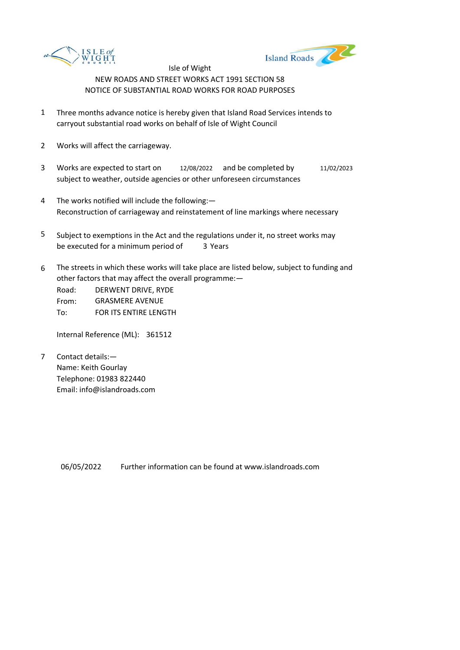



Isle of Wight NEW ROADS AND STREET WORKS ACT 1991 SECTION 58 NOTICE OF SUBSTANTIAL ROAD WORKS FOR ROAD PURPOSES

- 1 Three months advance notice is hereby given that Island Road Services intends to carryout substantial road works on behalf of Isle of Wight Council
- 2 Works will affect the carriageway.
- 3 Works are expected to start on <br>12/08/2022 and be completed by 11/02/2023 subject to weather, outside agencies or other unforeseen circumstances
- 4 The works notified will include the following:— Reconstruction of carriageway and reinstatement of line markings where necessary
- 5 be executed for a minimum period of 3 Years Subject to exemptions in the Act and the regulations under it, no street works may
- 6 The streets in which these works will take place are listed below, subject to funding and other factors that may affect the overall programme:—

Road: From: To: DERWENT DRIVE, RYDE GRASMERE AVENUE FOR ITS ENTIRE LENGTH

Internal Reference (ML): 361512

7 Contact details:— Name: Keith Gourlay Telephone: 01983 822440 Email: info@islandroads.com

> Further information can be found at www.islandroads.com 06/05/2022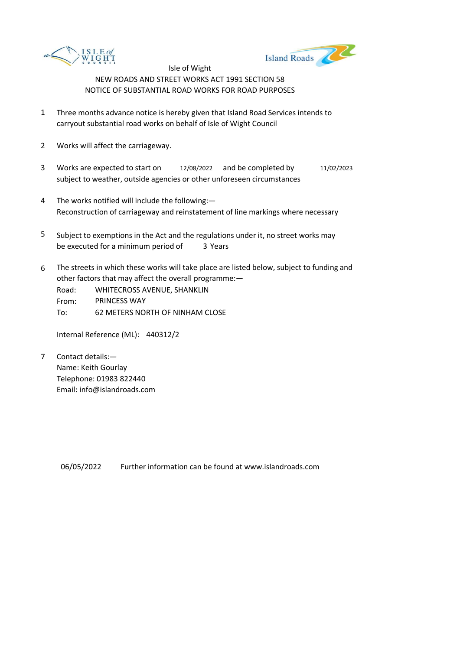



Isle of Wight NEW ROADS AND STREET WORKS ACT 1991 SECTION 58 NOTICE OF SUBSTANTIAL ROAD WORKS FOR ROAD PURPOSES

- 1 Three months advance notice is hereby given that Island Road Services intends to carryout substantial road works on behalf of Isle of Wight Council
- 2 Works will affect the carriageway.
- 3 Works are expected to start on <br>12/08/2022 and be completed by 11/02/2023 subject to weather, outside agencies or other unforeseen circumstances
- 4 The works notified will include the following:— Reconstruction of carriageway and reinstatement of line markings where necessary
- 5 be executed for a minimum period of 3 Years Subject to exemptions in the Act and the regulations under it, no street works may
- 6 The streets in which these works will take place are listed below, subject to funding and other factors that may affect the overall programme:—

Road: From: To: WHITECROSS AVENUE, SHANKLIN PRINCESS WAY 62 METERS NORTH OF NINHAM CLOSE

Internal Reference (ML): 440312/2

7 Contact details:— Name: Keith Gourlay Telephone: 01983 822440 Email: info@islandroads.com

> Further information can be found at www.islandroads.com 06/05/2022